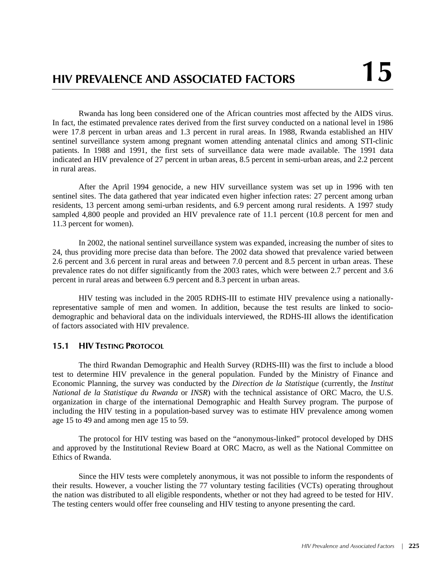Rwanda has long been considered one of the African countries most affected by the AIDS virus. In fact, the estimated prevalence rates derived from the first survey conducted on a national level in 1986 were 17.8 percent in urban areas and 1.3 percent in rural areas. In 1988, Rwanda established an HIV sentinel surveillance system among pregnant women attending antenatal clinics and among STI-clinic patients. In 1988 and 1991, the first sets of surveillance data were made available. The 1991 data indicated an HIV prevalence of 27 percent in urban areas, 8.5 percent in semi-urban areas, and 2.2 percent in rural areas.

After the April 1994 genocide, a new HIV surveillance system was set up in 1996 with ten sentinel sites. The data gathered that year indicated even higher infection rates: 27 percent among urban residents, 13 percent among semi-urban residents, and 6.9 percent among rural residents. A 1997 study sampled 4,800 people and provided an HIV prevalence rate of 11.1 percent (10.8 percent for men and 11.3 percent for women).

In 2002, the national sentinel surveillance system was expanded, increasing the number of sites to 24, thus providing more precise data than before. The 2002 data showed that prevalence varied between 2.6 percent and 3.6 percent in rural areas and between 7.0 percent and 8.5 percent in urban areas. These prevalence rates do not differ significantly from the 2003 rates, which were between 2.7 percent and 3.6 percent in rural areas and between 6.9 percent and 8.3 percent in urban areas.

HIV testing was included in the 2005 RDHS-III to estimate HIV prevalence using a nationallyrepresentative sample of men and women. In addition, because the test results are linked to sociodemographic and behavioral data on the individuals interviewed, the RDHS-III allows the identification of factors associated with HIV prevalence.

# **15.1 HIV TESTING PROTOCOL**

The third Rwandan Demographic and Health Survey (RDHS-III) was the first to include a blood test to determine HIV prevalence in the general population. Funded by the Ministry of Finance and Economic Planning, the survey was conducted by the *Direction de la Statistique* (currently, the *Institut National de la Statistique du Rwanda* or *INSR*) with the technical assistance of ORC Macro, the U.S. organization in charge of the international Demographic and Health Survey program. The purpose of including the HIV testing in a population-based survey was to estimate HIV prevalence among women age 15 to 49 and among men age 15 to 59.

The protocol for HIV testing was based on the "anonymous-linked" protocol developed by DHS and approved by the Institutional Review Board at ORC Macro, as well as the National Committee on Ethics of Rwanda.

Since the HIV tests were completely anonymous, it was not possible to inform the respondents of their results. However, a voucher listing the 77 voluntary testing facilities (VCTs) operating throughout the nation was distributed to all eligible respondents, whether or not they had agreed to be tested for HIV. The testing centers would offer free counseling and HIV testing to anyone presenting the card.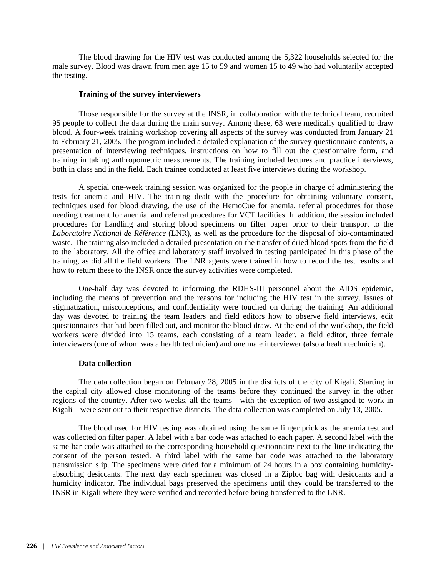The blood drawing for the HIV test was conducted among the 5,322 households selected for the male survey. Blood was drawn from men age 15 to 59 and women 15 to 49 who had voluntarily accepted the testing.

#### **Training of the survey interviewers**

Those responsible for the survey at the INSR, in collaboration with the technical team, recruited 95 people to collect the data during the main survey. Among these, 63 were medically qualified to draw blood. A four-week training workshop covering all aspects of the survey was conducted from January 21 to February 21, 2005. The program included a detailed explanation of the survey questionnaire contents, a presentation of interviewing techniques, instructions on how to fill out the questionnaire form, and training in taking anthropometric measurements. The training included lectures and practice interviews, both in class and in the field. Each trainee conducted at least five interviews during the workshop.

A special one-week training session was organized for the people in charge of administering the tests for anemia and HIV. The training dealt with the procedure for obtaining voluntary consent, techniques used for blood drawing, the use of the HemoCue for anemia, referral procedures for those needing treatment for anemia, and referral procedures for VCT facilities. In addition, the session included procedures for handling and storing blood specimens on filter paper prior to their transport to the *Laboratoire National de Référence* (LNR), as well as the procedure for the disposal of bio-contaminated waste. The training also included a detailed presentation on the transfer of dried blood spots from the field to the laboratory. All the office and laboratory staff involved in testing participated in this phase of the training, as did all the field workers. The LNR agents were trained in how to record the test results and how to return these to the INSR once the survey activities were completed.

One-half day was devoted to informing the RDHS-III personnel about the AIDS epidemic, including the means of prevention and the reasons for including the HIV test in the survey. Issues of stigmatization, misconceptions, and confidentiality were touched on during the training. An additional day was devoted to training the team leaders and field editors how to observe field interviews, edit questionnaires that had been filled out, and monitor the blood draw. At the end of the workshop, the field workers were divided into 15 teams, each consisting of a team leader, a field editor, three female interviewers (one of whom was a health technician) and one male interviewer (also a health technician).

#### **Data collection**

The data collection began on February 28, 2005 in the districts of the city of Kigali. Starting in the capital city allowed close monitoring of the teams before they continued the survey in the other regions of the country. After two weeks, all the teams—with the exception of two assigned to work in Kigali—were sent out to their respective districts. The data collection was completed on July 13, 2005.

The blood used for HIV testing was obtained using the same finger prick as the anemia test and was collected on filter paper. A label with a bar code was attached to each paper. A second label with the same bar code was attached to the corresponding household questionnaire next to the line indicating the consent of the person tested. A third label with the same bar code was attached to the laboratory transmission slip. The specimens were dried for a minimum of 24 hours in a box containing humidityabsorbing desiccants. The next day each specimen was closed in a Ziploc bag with desiccants and a humidity indicator. The individual bags preserved the specimens until they could be transferred to the INSR in Kigali where they were verified and recorded before being transferred to the LNR.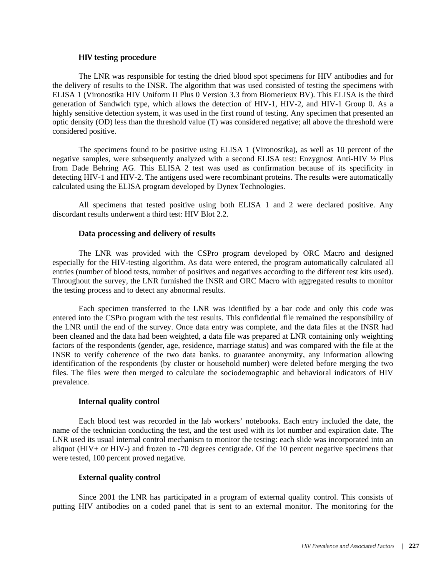#### **HIV testing procedure**

The LNR was responsible for testing the dried blood spot specimens for HIV antibodies and for the delivery of results to the INSR. The algorithm that was used consisted of testing the specimens with ELISA 1 (Vironostika HIV Uniform II Plus 0 Version 3.3 from Biomerieux BV). This ELISA is the third generation of Sandwich type, which allows the detection of HIV-1, HIV-2, and HIV-1 Group 0. As a highly sensitive detection system, it was used in the first round of testing. Any specimen that presented an optic density (OD) less than the threshold value (T) was considered negative; all above the threshold were considered positive.

The specimens found to be positive using ELISA 1 (Vironostika), as well as 10 percent of the negative samples, were subsequently analyzed with a second ELISA test: Enzygnost Anti-HIV ½ Plus from Dade Behring AG. This ELISA 2 test was used as confirmation because of its specificity in detecting HIV-1 and HIV-2. The antigens used were recombinant proteins. The results were automatically calculated using the ELISA program developed by Dynex Technologies.

All specimens that tested positive using both ELISA 1 and 2 were declared positive. Any discordant results underwent a third test: HIV Blot 2.2.

### **Data processing and delivery of results**

The LNR was provided with the CSPro program developed by ORC Macro and designed especially for the HIV-testing algorithm. As data were entered, the program automatically calculated all entries (number of blood tests, number of positives and negatives according to the different test kits used). Throughout the survey, the LNR furnished the INSR and ORC Macro with aggregated results to monitor the testing process and to detect any abnormal results.

Each specimen transferred to the LNR was identified by a bar code and only this code was entered into the CSPro program with the test results. This confidential file remained the responsibility of the LNR until the end of the survey. Once data entry was complete, and the data files at the INSR had been cleaned and the data had been weighted, a data file was prepared at LNR containing only weighting factors of the respondents (gender, age, residence, marriage status) and was compared with the file at the INSR to verify coherence of the two data banks. to guarantee anonymity, any information allowing identification of the respondents (by cluster or household number) were deleted before merging the two files. The files were then merged to calculate the sociodemographic and behavioral indicators of HIV prevalence.

#### **Internal quality control**

Each blood test was recorded in the lab workers' notebooks. Each entry included the date, the name of the technician conducting the test, and the test used with its lot number and expiration date. The LNR used its usual internal control mechanism to monitor the testing: each slide was incorporated into an aliquot (HIV+ or HIV-) and frozen to -70 degrees centigrade. Of the 10 percent negative specimens that were tested, 100 percent proved negative.

### **External quality control**

Since 2001 the LNR has participated in a program of external quality control. This consists of putting HIV antibodies on a coded panel that is sent to an external monitor. The monitoring for the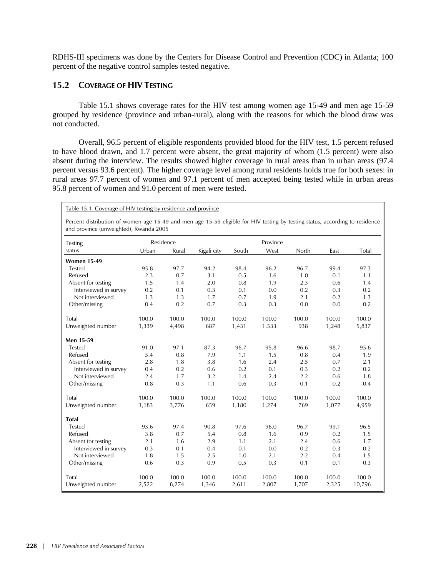RDHS-III specimens was done by the Centers for Disease Control and Prevention (CDC) in Atlanta; 100 percent of the negative control samples tested negative.

# **15.2 COVERAGE OF HIV TESTING**

Table 15.1 shows coverage rates for the HIV test among women age 15-49 and men age 15-59 grouped by residence (province and urban-rural), along with the reasons for which the blood draw was not conducted.

Overall, 96.5 percent of eligible respondents provided blood for the HIV test, 1.5 percent refused to have blood drawn, and 1.7 percent were absent, the great majority of whom (1.5 percent) were also absent during the interview. The results showed higher coverage in rural areas than in urban areas (97.4 percent versus 93.6 percent). The higher coverage level among rural residents holds true for both sexes: in rural areas 97.7 percent of women and 97.1 percent of men accepted being tested while in urban areas 95.8 percent of women and 91.0 percent of men were tested.

#### Table 15.1 Coverage of HIV testing by residence and province

Percent distribution of women age 15-49 and men age 15-59 eligible for HIV testing by testing status, according to residence and province (unweighted), Rwanda 2005

| <b>Testing</b>        |       | Residence |             |       | Province |       |       |        |
|-----------------------|-------|-----------|-------------|-------|----------|-------|-------|--------|
| status                | Urban | Rural     | Kigali city | South | West     | North | East  | Total  |
| <b>Women 15-49</b>    |       |           |             |       |          |       |       |        |
| <b>Tested</b>         | 95.8  | 97.7      | 94.2        | 98.4  | 96.2     | 96.7  | 99.4  | 97.3   |
| Refused               | 2.3   | 0.7       | 3.1         | 0.5   | 1.6      | 1.0   | 0.1   | 1.1    |
| Absent for testing    | 1.5   | 1.4       | 2.0         | 0.8   | 1.9      | 2.3   | 0.6   | 1.4    |
| Interviewed in survey | 0.2   | 0.1       | 0.3         | 0.1   | 0.0      | 0.2   | 0.3   | 0.2    |
| Not interviewed       | 1.3   | 1.3       | 1.7         | 0.7   | 1.9      | 2.1   | 0.2   | 1.3    |
| Other/missing         | 0.4   | 0.2       | 0.7         | 0.3   | 0.3      | 0.0   | 0.0   | 0.2    |
| Total                 | 100.0 | 100.0     | 100.0       | 100.0 | 100.0    | 100.0 | 100.0 | 100.0  |
| Unweighted number     | 1,339 | 4,498     | 687         | 1,431 | 1,533    | 938   | 1,248 | 5,837  |
| Men 15-59             |       |           |             |       |          |       |       |        |
| <b>Tested</b>         | 91.0  | 97.1      | 87.3        | 96.7  | 95.8     | 96.6  | 98.7  | 95.6   |
| Refused               | 5.4   | 0.8       | 7.9         | 1.1   | 1.5      | 0.8   | 0.4   | 1.9    |
| Absent for testing    | 2.8   | 1.8       | 3.8         | 1.6   | 2.4      | 2.5   | 0.7   | 2.1    |
| Interviewed in survey | 0.4   | 0.2       | 0.6         | 0.2   | 0.1      | 0.3   | 0.2   | 0.2    |
| Not interviewed       | 2.4   | 1.7       | 3.2         | 1.4   | 2.4      | 2.2   | 0.6   | 1.8    |
| Other/missing         | 0.8   | 0.3       | 1.1         | 0.6   | 0.3      | 0.1   | 0.2   | 0.4    |
| Total                 | 100.0 | 100.0     | 100.0       | 100.0 | 100.0    | 100.0 | 100.0 | 100.0  |
| Unweighted number     | 1,183 | 3,776     | 659         | 1,180 | 1,274    | 769   | 1,077 | 4,959  |
| <b>Total</b>          |       |           |             |       |          |       |       |        |
| <b>Tested</b>         | 93.6  | 97.4      | 90.8        | 97.6  | 96.0     | 96.7  | 99.1  | 96.5   |
| Refused               | 3.8   | 0.7       | 5.4         | 0.8   | 1.6      | 0.9   | 0.2   | 1.5    |
| Absent for testing    | 2.1   | 1.6       | 2.9         | 1.1   | 2.1      | 2.4   | 0.6   | 1.7    |
| Interviewed in survey | 0.3   | 0.1       | 0.4         | 0.1   | 0.0      | 0.2   | 0.3   | 0.2    |
| Not interviewed       | 1.8   | 1.5       | 2.5         | 1.0   | 2.1      | 2.2   | 0.4   | 1.5    |
| Other/missing         | 0.6   | 0.3       | 0.9         | 0.5   | 0.3      | 0.1   | 0.1   | 0.3    |
| Total                 | 100.0 | 100.0     | 100.0       | 100.0 | 100.0    | 100.0 | 100.0 | 100.0  |
| Unweighted number     | 2,522 | 8,274     | 1,346       | 2,611 | 2,807    | 1,707 | 2,325 | 10,796 |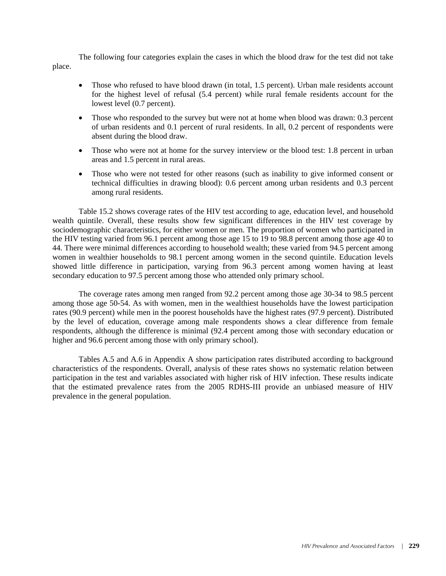The following four categories explain the cases in which the blood draw for the test did not take place.

- Those who refused to have blood drawn (in total, 1.5 percent). Urban male residents account for the highest level of refusal (5.4 percent) while rural female residents account for the lowest level  $(0.7$  percent).
- Those who responded to the survey but were not at home when blood was drawn: 0.3 percent of urban residents and 0.1 percent of rural residents. In all, 0.2 percent of respondents were absent during the blood draw.
- Those who were not at home for the survey interview or the blood test: 1.8 percent in urban areas and 1.5 percent in rural areas.
- Those who were not tested for other reasons (such as inability to give informed consent or technical difficulties in drawing blood): 0.6 percent among urban residents and 0.3 percent among rural residents.

Table 15.2 shows coverage rates of the HIV test according to age, education level, and household wealth quintile. Overall, these results show few significant differences in the HIV test coverage by sociodemographic characteristics, for either women or men. The proportion of women who participated in the HIV testing varied from 96.1 percent among those age 15 to 19 to 98.8 percent among those age 40 to 44. There were minimal differences according to household wealth; these varied from 94.5 percent among women in wealthier households to 98.1 percent among women in the second quintile. Education levels showed little difference in participation, varying from 96.3 percent among women having at least secondary education to 97.5 percent among those who attended only primary school.

The coverage rates among men ranged from 92.2 percent among those age 30-34 to 98.5 percent among those age 50-54. As with women, men in the wealthiest households have the lowest participation rates (90.9 percent) while men in the poorest households have the highest rates (97.9 percent). Distributed by the level of education, coverage among male respondents shows a clear difference from female respondents, although the difference is minimal (92.4 percent among those with secondary education or higher and 96.6 percent among those with only primary school).

Tables A.5 and A.6 in Appendix A show participation rates distributed according to background characteristics of the respondents. Overall, analysis of these rates shows no systematic relation between participation in the test and variables associated with higher risk of HIV infection. These results indicate that the estimated prevalence rates from the 2005 RDHS-III provide an unbiased measure of HIV prevalence in the general population.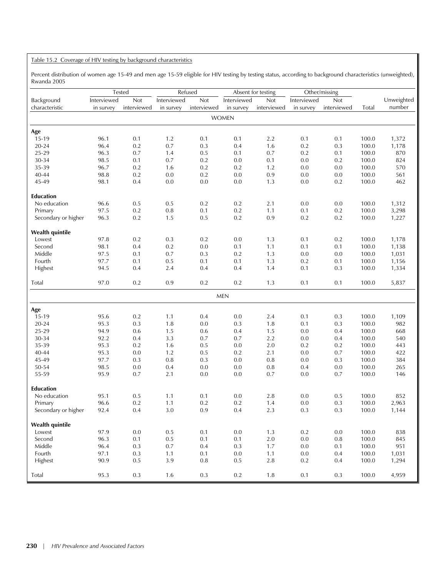#### Table 15.2 Coverage of HIV testing by background characteristics

Percent distribution of women age 15-49 and men age 15-59 eligible for HIV testing by testing status, according to background characteristics (unweighted), Rwanda 2005

|                              |                          | Tested                    |                          | Refused                   |                          | Absent for testing        |                          | Other/missing      |       |                      |
|------------------------------|--------------------------|---------------------------|--------------------------|---------------------------|--------------------------|---------------------------|--------------------------|--------------------|-------|----------------------|
| Background<br>characteristic | Interviewed<br>in survey | <b>Not</b><br>interviewed | Interviewed<br>in survey | <b>Not</b><br>interviewed | Interviewed<br>in survey | <b>Not</b><br>interviewed | Interviewed<br>in survey | Not<br>interviewed | Total | Unweighted<br>number |
|                              |                          |                           |                          |                           | <b>WOMEN</b>             |                           |                          |                    |       |                      |
| Age                          |                          |                           |                          |                           |                          |                           |                          |                    |       |                      |
| 15-19                        | 96.1                     | 0.1                       | 1.2                      | 0.1                       | 0.1                      | 2.2                       | 0.1                      | 0.1                | 100.0 | 1,372                |
| $20 - 24$                    | 96.4                     | 0.2                       | 0.7                      | 0.3                       | 0.4                      | 1.6                       | 0.2                      | 0.3                | 100.0 | 1,178                |
| 25-29                        | 96.3                     | 0.7                       | 1.4                      | 0.5                       | 0.1                      | $0.7\,$                   | 0.2                      | 0.1                | 100.0 | 870                  |
| 30-34                        | 98.5                     | 0.1                       | 0.7                      | 0.2                       | 0.0                      | 0.1                       | 0.0                      | 0.2                | 100.0 | 824                  |
| 35-39                        | 96.7                     | 0.2                       | 1.6                      | 0.2                       | 0.2                      | 1.2                       | 0.0                      | 0.0                | 100.0 | 570                  |
| 40-44                        | 98.8                     | 0.2                       | $0.0\,$                  | 0.2                       | 0.0                      | 0.9                       | $0.0\,$                  | 0.0                | 100.0 | 561                  |
| 45-49                        | 98.1                     | 0.4                       | 0.0                      | 0.0                       | 0.0                      | 1.3                       | 0.0                      | 0.2                | 100.0 | 462                  |
| <b>Education</b>             |                          |                           |                          |                           |                          |                           |                          |                    |       |                      |
| No education                 | 96.6                     | 0.5                       | 0.5                      | 0.2                       | 0.2                      | 2.1                       | 0.0                      | 0.0                | 100.0 | 1,312                |
| Primary                      | 97.5                     | $0.2\,$                   | $0.8\,$                  | 0.1                       | $0.2\,$                  | 1.1                       | 0.1                      | 0.2                | 100.0 | 3,298                |
| Secondary or higher          | 96.3                     | $0.2\,$                   | 1.5                      | 0.5                       | 0.2                      | 0.9                       | 0.2                      | 0.2                | 100.0 | 1,227                |
| <b>Wealth quintile</b>       |                          |                           |                          |                           |                          |                           |                          |                    |       |                      |
| Lowest                       | 97.8                     | 0.2                       | 0.3                      | $0.2\,$                   | 0.0                      | 1.3                       | 0.1                      | 0.2                | 100.0 | 1,178                |
| Second                       | 98.1                     | 0.4                       | $0.2\,$                  | 0.0                       | 0.1                      | 1.1                       | 0.1                      | 0.1                | 100.0 | 1,138                |
| Middle                       | 97.5                     | 0.1                       | 0.7                      | 0.3                       | 0.2                      | 1.3                       | 0.0                      | 0.0                | 100.0 | 1,031                |
| Fourth                       | 97.7                     | 0.1                       | $0.5\,$                  | 0.1                       | 0.1                      | 1.3                       | 0.2                      | 0.1                | 100.0 | 1,156                |
| Highest                      | 94.5                     | 0.4                       | 2.4                      | 0.4                       | 0.4                      | 1.4                       | 0.1                      | 0.3                | 100.0 | 1,334                |
| Total                        | 97.0                     | 0.2                       | 0.9                      | 0.2                       | 0.2                      | 1.3                       | 0.1                      | 0.1                | 100.0 | 5,837                |
|                              |                          |                           |                          |                           |                          |                           |                          |                    |       |                      |
|                              |                          |                           |                          |                           | <b>MEN</b>               |                           |                          |                    |       |                      |
| Age                          |                          |                           |                          |                           |                          |                           |                          |                    |       |                      |
| 15-19                        | 95.6                     | 0.2                       | 1.1                      | 0.4                       | 0.0                      | 2.4                       | 0.1                      | 0.3                | 100.0 | 1,109                |
| $20 - 24$                    | 95.3                     | 0.3                       | 1.8                      | 0.0                       | 0.3                      | 1.8                       | 0.1                      | 0.3                | 100.0 | 982                  |
| 25-29                        | 94.9                     | 0.6                       | 1.5                      | 0.6                       | 0.4                      | 1.5                       | 0.0                      | 0.4                | 100.0 | 668                  |
| 30-34                        | 92.2                     | 0.4                       | 3.3                      | 0.7                       | 0.7                      | 2.2                       | 0.0                      | 0.4                | 100.0 | 540                  |
| 35-39                        | 95.3                     | 0.2                       | 1.6                      | 0.5                       | 0.0                      | 2.0                       | 0.2                      | 0.2                | 100.0 | 443                  |
| 40-44                        | 95.3                     | 0.0                       | 1.2                      | 0.5                       | 0.2                      | 2.1                       | 0.0                      | 0.7                | 100.0 | 422                  |
| 45-49                        | 97.7                     | 0.3                       | 0.8                      | 0.3                       | 0.0                      | 0.8                       | $0.0\,$                  | 0.3                | 100.0 | 384                  |
| 50-54                        | 98.5                     | $0.0\,$                   | 0.4                      | 0.0                       | 0.0                      | 0.8                       | 0.4                      | 0.0                | 100.0 | 265                  |
| 55-59                        | 95.9                     | 0.7                       | 2.1                      | 0.0                       | 0.0                      | 0.7                       | 0.0                      | 0.7                | 100.0 | 146                  |
| <b>Education</b>             |                          |                           |                          |                           |                          |                           |                          |                    |       |                      |
| No education                 | 95.1                     | 0.5                       | 1.1                      | 0.1                       | 0.0                      | 2.8                       | 0.0                      | 0.5                | 100.0 | 852                  |
| Primary                      | 96.6                     | $0.2\,$                   | 1.1                      | 0.2                       | 0.2                      | 1.4                       | 0.0                      | 0.3                | 100.0 | 2,963                |
| Secondary or higher          | 92.4                     | 0.4                       | $3.0\,$                  | $0.9\,$                   | 0.4                      | 2.3                       | 0.3                      | 0.3                | 100.0 | 1,144                |
| <b>Wealth quintile</b>       |                          |                           |                          |                           |                          |                           |                          |                    |       |                      |
| Lowest                       | 97.9                     | $0.0\,$                   | 0.5                      | 0.1                       | $0.0\,$                  | 1.3                       | $0.2\,$                  | $0.0\,$            | 100.0 | 838                  |
| Second                       | 96.3                     | 0.1                       | $0.5\,$                  | 0.1                       | 0.1                      | $2.0\,$                   | 0.0                      | $0.8\,$            | 100.0 | 845                  |
| Middle                       | 96.4                     | 0.3                       | 0.7                      | 0.4                       | 0.3                      | 1.7                       | 0.0                      | 0.1                | 100.0 | 951                  |
| Fourth                       | 97.1                     | 0.3                       | 1.1                      | 0.1                       | 0.0                      | 1.1                       | 0.0                      | 0.4                | 100.0 | 1,031                |
| Highest                      | 90.9                     | 0.5                       | 3.9                      | $0.8\,$                   | $0.5\,$                  | 2.8                       | 0.2                      | 0.4                | 100.0 | 1,294                |
| Total                        | 95.3                     | $0.3\,$                   | 1.6                      | $0.3\,$                   | $0.2\,$                  | $1.8\,$                   | 0.1                      | 0.3                | 100.0 | 4,959                |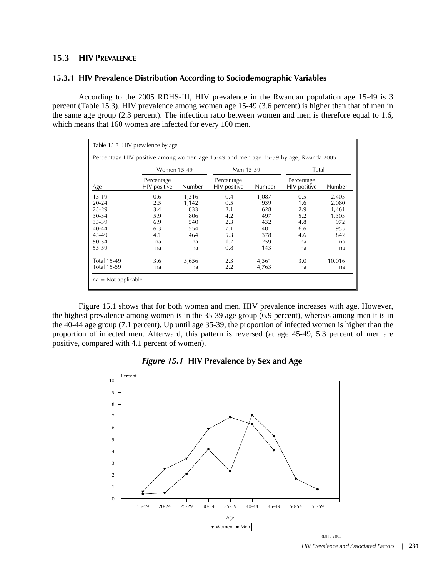# **15.3 HIV PREVALENCE**

#### **15.3.1 HIV Prevalence Distribution According to Sociodemographic Variables**

According to the 2005 RDHS-III, HIV prevalence in the Rwandan population age 15-49 is 3 percent (Table 15.3). HIV prevalence among women age 15-49 (3.6 percent) is higher than that of men in the same age group (2.3 percent). The infection ratio between women and men is therefore equal to 1.6, which means that 160 women are infected for every 100 men.

| Table 15.3 HIV prevalence by age                                                    |                            |        |                            |        |                            |        |  |
|-------------------------------------------------------------------------------------|----------------------------|--------|----------------------------|--------|----------------------------|--------|--|
| Percentage HIV positive among women age 15-49 and men age 15-59 by age, Rwanda 2005 |                            |        |                            |        |                            |        |  |
|                                                                                     | Women 15-49                |        | Men 15-59                  |        | Total                      |        |  |
| Age                                                                                 | Percentage<br>HIV positive | Number | Percentage<br>HIV positive | Number | Percentage<br>HIV positive | Number |  |
| $15-19$                                                                             | 0.6                        | 1,316  | 0.4                        | 1,087  | 0.5                        | 2,403  |  |
| $20 - 24$                                                                           | 2.5                        | 1,142  | 0.5                        | 939    | 1.6                        | 2,080  |  |
| $25 - 29$                                                                           | 3.4                        | 833    | 2.1                        | 628    | 2.9                        | 1,461  |  |
| 30-34                                                                               | 5.9                        | 806    | 4.2                        | 497    | 5.2                        | 1,303  |  |
| 35-39                                                                               | 6.9                        | 540    | 2.3                        | 432    | 4.8                        | 972    |  |
| $40 - 44$                                                                           | 6.3                        | 554    | 7.1                        | 401    | 6.6                        | 955    |  |
| 45-49                                                                               | 4.1                        | 464    | 5.3                        | 378    | 4.6                        | 842    |  |
| $50 - 54$                                                                           | na                         | na     | 1.7                        | 259    | na                         | na     |  |
| 55-59                                                                               | na                         | na     | 0.8                        | 143    | na                         | na     |  |
| <b>Total 15-49</b>                                                                  | 3.6                        | 5,656  | 2.3                        | 4,361  | 3.0                        | 10,016 |  |
| <b>Total 15-59</b>                                                                  | na                         | na     | 2.2                        | 4,763  | na                         | na     |  |
| $na = Not applicable$                                                               |                            |        |                            |        |                            |        |  |

Figure 15.1 shows that for both women and men, HIV prevalence increases with age. However, the highest prevalence among women is in the 35-39 age group (6.9 percent), whereas among men it is in the 40-44 age group (7.1 percent). Up until age 35-39, the proportion of infected women is higher than the proportion of infected men. Afterward, this pattern is reversed (at age 45-49, 5.3 percent of men are positive, compared with 4.1 percent of women).



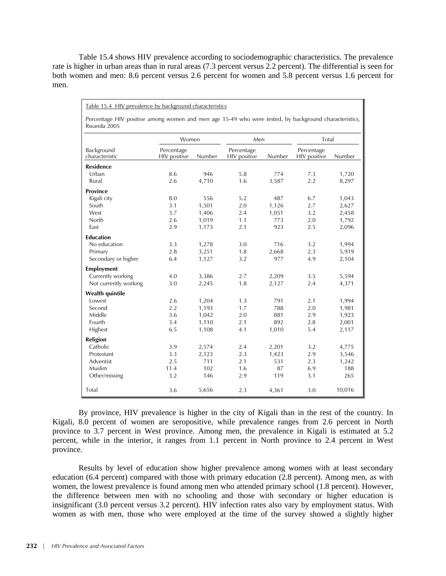Table 15.4 shows HIV prevalence according to sociodemographic characteristics. The prevalence rate is higher in urban areas than in rural areas (7.3 percent versus 2.2 percent). The differential is seen for both women and men: 8.6 percent versus 2.6 percent for women and 5.8 percent versus 1.6 percent for men.

Table 15.4 HIV prevalence by background characteristics

Percentage HIV positive among women and men age 15-49 who were tested, by background characteristics, Rwanda 2005

|                              | Women                      |        | Men                        |        | Total                      |        |
|------------------------------|----------------------------|--------|----------------------------|--------|----------------------------|--------|
| Background<br>characteristic | Percentage<br>HIV positive | Number | Percentage<br>HIV positive | Number | Percentage<br>HIV positive | Number |
| <b>Residence</b>             |                            |        |                            |        |                            |        |
| Urban                        | 8.6                        | 946    | 5.8                        | 774    | 7.3                        | 1,720  |
| Rural                        | 2.6                        | 4,710  | 1.6                        | 3,587  | 2.2                        | 8,297  |
| <b>Province</b>              |                            |        |                            |        |                            |        |
| Kigali city                  | 8.0                        | 556    | 5.2                        | 487    | 6.7                        | 1,043  |
| South                        | 3.1                        | 1,501  | 2.0                        | 1,126  | 2.7                        | 2,627  |
| West                         | 3.7                        | 1,406  | 2.4                        | 1,051  | 3.2                        | 2,458  |
| North                        | 2.6                        | 1,019  | 1.1                        | 773    | 2.0                        | 1,792  |
| East                         | 2.9                        | 1,173  | 2.1                        | 923    | 2.5                        | 2,096  |
| <b>Education</b>             |                            |        |                            |        |                            |        |
| No education                 | 3.3                        | 1,278  | 3.0                        | 716    | 3.2                        | 1,994  |
| Primary                      | 2.8                        | 3,251  | 1.8                        | 2,668  | 2.3                        | 5,919  |
| Secondary or higher          | 6.4                        | 1,127  | 3.2                        | 977    | 4.9                        | 2,104  |
| <b>Employment</b>            |                            |        |                            |        |                            |        |
| Currently working            | 4.0                        | 3,386  | 2.7                        | 2,209  | 3.5                        | 5,594  |
| Not currently working        | 3.0                        | 2,245  | 1.8                        | 2,127  | 2.4                        | 4,371  |
| <b>Wealth quintile</b>       |                            |        |                            |        |                            |        |
| I owest                      | 2.6                        | 1,204  | 1.3                        | 791    | 2.1                        | 1,994  |
| Second                       | 2.2                        | 1,193  | 1.7                        | 788    | 2.0                        | 1,981  |
| Middle                       | 3.6                        | 1,042  | 2.0                        | 881    | 2.9                        | 1,923  |
| Fourth                       | 3.4                        | 1,110  | 2.1                        | 892    | 2.8                        | 2,001  |
| Highest                      | 6.5                        | 1,108  | 4.1                        | 1,010  | 5.4                        | 2,117  |
| Religion                     |                            |        |                            |        |                            |        |
| Catholic                     | 3.9                        | 2,574  | 2.4                        | 2,201  | 3.2                        | 4,775  |
| Protestant                   | 3.3                        | 2,123  | 2.3                        | 1,423  | 2.9                        | 3,546  |
| Adventist                    | 2.5                        | 711    | 2.1                        | 531    | 2.3                        | 1,242  |
| Muslim                       | 11.4                       | 102    | 1.6                        | 87     | 6.9                        | 188    |
| Other/missing                | 3.2                        | 146    | 2.9                        | 119    | 3.1                        | 265    |
| Total                        | 3.6                        | 5,656  | 2.3                        | 4,361  | 3.0                        | 10,016 |

By province, HIV prevalence is higher in the city of Kigali than in the rest of the country. In Kigali, 8.0 percent of women are seropositive, while prevalence ranges from 2.6 percent in North province to 3.7 percent in West province. Among men, the prevalence in Kigali is estimated at 5.2 percent, while in the interior, it ranges from 1.1 percent in North province to 2.4 percent in West province.

Results by level of education show higher prevalence among women with at least secondary education (6.4 percent) compared with those with primary education (2.8 percent). Among men, as with women, the lowest prevalence is found among men who attended primary school (1.8 percent). However, the difference between men with no schooling and those with secondary or higher education is insignificant (3.0 percent versus 3.2 percent). HIV infection rates also vary by employment status. With women as with men, those who were employed at the time of the survey showed a slightly higher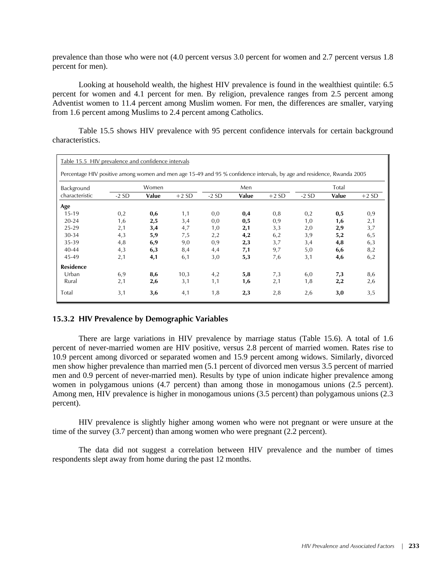prevalence than those who were not (4.0 percent versus 3.0 percent for women and 2.7 percent versus 1.8 percent for men).

Looking at household wealth, the highest HIV prevalence is found in the wealthiest quintile: 6.5 percent for women and 4.1 percent for men. By religion, prevalence ranges from 2.5 percent among Adventist women to 11.4 percent among Muslim women. For men, the differences are smaller, varying from 1.6 percent among Muslims to 2.4 percent among Catholics.

Table 15.5 shows HIV prevalence with 95 percent confidence intervals for certain background characteristics.

| Table 15.5 HIV prevalence and confidence intervals                                                                     |         |       |        |        |       |        |         |       |         |
|------------------------------------------------------------------------------------------------------------------------|---------|-------|--------|--------|-------|--------|---------|-------|---------|
| Percentage HIV positive among women and men age 15-49 and 95 % confidence intervals, by age and residence, Rwanda 2005 |         |       |        |        |       |        |         |       |         |
| Background                                                                                                             |         | Women |        |        | Men   |        |         | Total |         |
| characteristic                                                                                                         | $-2$ SD | Value | $+2SD$ | $-2SD$ | Value | $+2SD$ | $-2$ SD | Value | $+2$ SD |
| Age                                                                                                                    |         |       |        |        |       |        |         |       |         |
| 15-19                                                                                                                  | 0,2     | 0,6   | 1,1    | 0,0    | 0,4   | 0,8    | 0,2     | 0,5   | 0,9     |
| $20 - 24$                                                                                                              | 1,6     | 2,5   | 3,4    | 0,0    | 0,5   | 0,9    | 1,0     | 1,6   | 2,1     |
| $25 - 29$                                                                                                              | 2,1     | 3,4   | 4,7    | 1,0    | 2,1   | 3,3    | 2,0     | 2,9   | 3,7     |
| 30-34                                                                                                                  | 4,3     | 5,9   | 7,5    | 2,2    | 4,2   | 6,2    | 3,9     | 5,2   | 6,5     |
| 35-39                                                                                                                  | 4,8     | 6,9   | 9,0    | 0,9    | 2,3   | 3,7    | 3,4     | 4,8   | 6,3     |
| $40 - 44$                                                                                                              | 4,3     | 6,3   | 8,4    | 4,4    | 7,1   | 9,7    | 5,0     | 6,6   | 8,2     |
| 45-49                                                                                                                  | 2,1     | 4,1   | 6,1    | 3,0    | 5,3   | 7,6    | 3,1     | 4,6   | 6,2     |
| <b>Residence</b>                                                                                                       |         |       |        |        |       |        |         |       |         |
| Urban                                                                                                                  | 6,9     | 8,6   | 10,3   | 4,2    | 5,8   | 7,3    | 6,0     | 7,3   | 8,6     |
| Rural                                                                                                                  | 2,1     | 2,6   | 3,1    | 1,1    | 1,6   | 2,1    | 1,8     | 2,2   | 2,6     |
| Total                                                                                                                  | 3,1     | 3,6   | 4,1    | 1,8    | 2,3   | 2,8    | 2,6     | 3,0   | 3,5     |

### **15.3.2 HIV Prevalence by Demographic Variables**

There are large variations in HIV prevalence by marriage status (Table 15.6). A total of 1.6 percent of never-married women are HIV positive, versus 2.8 percent of married women. Rates rise to 10.9 percent among divorced or separated women and 15.9 percent among widows. Similarly, divorced men show higher prevalence than married men (5.1 percent of divorced men versus 3.5 percent of married men and 0.9 percent of never-married men). Results by type of union indicate higher prevalence among women in polygamous unions (4.7 percent) than among those in monogamous unions (2.5 percent). Among men, HIV prevalence is higher in monogamous unions (3.5 percent) than polygamous unions (2.3 percent).

HIV prevalence is slightly higher among women who were not pregnant or were unsure at the time of the survey (3.7 percent) than among women who were pregnant (2.2 percent).

The data did not suggest a correlation between HIV prevalence and the number of times respondents slept away from home during the past 12 months.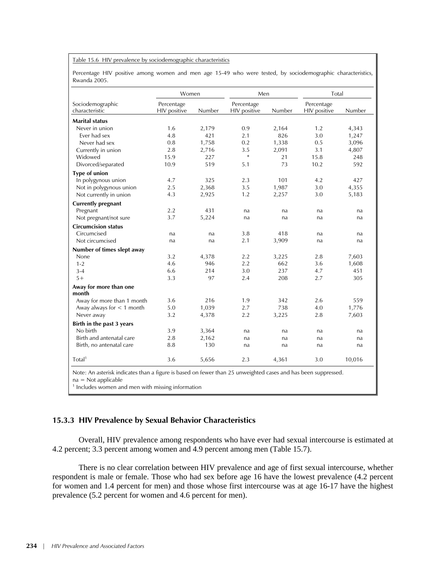Table 15.6 HIV prevalence by sociodemographic characteristics

Percentage HIV positive among women and men age 15-49 who were tested, by sociodemographic characteristics, Rwanda 2005.

|                                    | Women                      |        | Men                        |        | Total                      |        |
|------------------------------------|----------------------------|--------|----------------------------|--------|----------------------------|--------|
| Sociodemographic<br>characteristic | Percentage<br>HIV positive | Number | Percentage<br>HIV positive | Number | Percentage<br>HIV positive | Number |
| <b>Marital status</b>              |                            |        |                            |        |                            |        |
| Never in union                     | 1.6                        | 2,179  | 0.9                        | 2,164  | 1.2                        | 4,343  |
| Ever had sex                       | 4.8                        | 421    | 2.1                        | 826    | 3.0                        | 1,247  |
| Never had sex                      | 0.8                        | 1,758  | 0.2                        | 1,338  | 0.5                        | 3,096  |
| Currently in union                 | 2.8                        | 2,716  | 3.5                        | 2,091  | 3.1                        | 4,807  |
| Widowed                            | 15.9                       | 227    | $\ast$                     | 21     | 15.8                       | 248    |
| Divorced/separated                 | 10.9                       | 519    | 5.1                        | 73     | 10.2                       | 592    |
| <b>Type of union</b>               |                            |        |                            |        |                            |        |
| In polygynous union                | 4.7                        | 325    | 2.3                        | 101    | 4.2                        | 427    |
| Not in polygynous union            | 2.5                        | 2,368  | 3.5                        | 1,987  | 3.0                        | 4,355  |
| Not currently in union             | 4.3                        | 2,925  | 1.2                        | 2,257  | 3.0                        | 5,183  |
| <b>Currently pregnant</b>          |                            |        |                            |        |                            |        |
| Pregnant                           | 2.2                        | 431    | na                         | na     | na                         | na     |
| Not pregnant/not sure              | 3.7                        | 5,224  | na                         | na     | na                         | na     |
| <b>Circumcision status</b>         |                            |        |                            |        |                            |        |
| Circumcised                        | na                         | na     | 3.8                        | 418    | na                         | na     |
| Not circumcised                    | na                         | na     | 2.1                        | 3,909  | na                         | na     |
| Number of times slept away         |                            |        |                            |        |                            |        |
| None                               | 3.2                        | 4,378  | 2.2                        | 3,225  | 2.8                        | 7,603  |
| $1 - 2$                            | 4.6                        | 946    | 2.2                        | 662    | 3.6                        | 1,608  |
| $3 - 4$                            | 6.6                        | 214    | 3.0                        | 237    | 4.7                        | 451    |
| $5+$                               | 3.3                        | 97     | 2.4                        | 208    | 2.7                        | 305    |
| Away for more than one<br>month    |                            |        |                            |        |                            |        |
| Away for more than 1 month         | 3.6                        | 216    | 1.9                        | 342    | 2.6                        | 559    |
| Away always for $<$ 1 month        | 5.0                        | 1,039  | 2.7                        | 738    | 4.0                        | 1,776  |
| Never away                         | 3.2                        | 4,378  | 2.2                        | 3,225  | 2.8                        | 7,603  |
| Birth in the past 3 years          |                            |        |                            |        |                            |        |
| No birth                           | 3.9                        | 3,364  | na                         | na     | na                         | na     |
| Birth and antenatal care           | 2.8                        | 2,162  | na                         | na     | na                         | na     |
| Birth, no antenatal care           | 8.8                        | 130    | na                         | na     | na                         | na     |
| Total <sup>1</sup>                 | 3.6                        | 5,656  | 2.3                        | 4,361  | 3.0                        | 10,016 |

<sup>1</sup> Includes women and men with missing information

## **15.3.3 HIV Prevalence by Sexual Behavior Characteristics**

Overall, HIV prevalence among respondents who have ever had sexual intercourse is estimated at 4.2 percent; 3.3 percent among women and 4.9 percent among men (Table 15.7).

There is no clear correlation between HIV prevalence and age of first sexual intercourse, whether respondent is male or female. Those who had sex before age 16 have the lowest prevalence (4.2 percent for women and 1.4 percent for men) and those whose first intercourse was at age 16-17 have the highest prevalence (5.2 percent for women and 4.6 percent for men).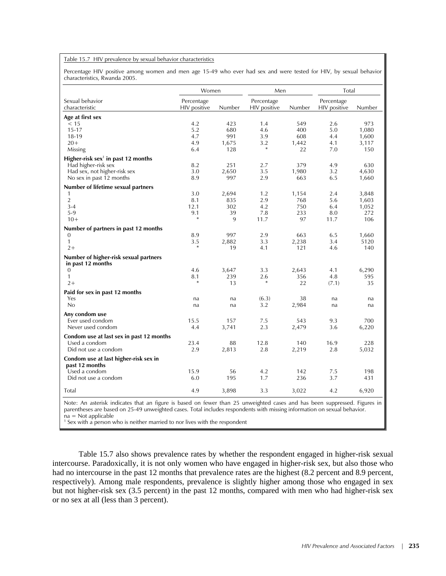#### Table 15.7 HIV prevalence by sexual behavior characteristics

Percentage HIV positive among women and men age 15-49 who ever had sex and were tested for HIV, by sexual behavior characteristics, Rwanda 2005.

|                                                            | Women                      |        | Men                        |        | Total                      |        |
|------------------------------------------------------------|----------------------------|--------|----------------------------|--------|----------------------------|--------|
| Sexual behavior<br>characteristic                          | Percentage<br>HIV positive | Number | Percentage<br>HIV positive | Number | Percentage<br>HIV positive | Number |
| Age at first sex                                           |                            |        |                            |        |                            |        |
| < 15                                                       | 4.2                        | 423    | 1.4                        | 549    | 2.6                        | 973    |
| $15 - 17$                                                  | 5.2                        | 680    | 4.6                        | 400    | 5.0                        | 1,080  |
| 18-19                                                      | 4.7                        | 991    | 3.9                        | 608    | 4.4                        | 1,600  |
| $20+$                                                      | 4.9                        | 1,675  | 3.2                        | 1,442  | 4.1                        | 3,117  |
| Missing                                                    | 6.4                        | 128    | $\ast$                     | 22     | 7.0                        | 150    |
| Higher-risk sex <sup>1</sup> in past 12 months             |                            |        |                            |        |                            |        |
| Had higher-risk sex                                        | 8.2                        | 251    | 2.7                        | 379    | 4.9                        | 630    |
| Had sex, not higher-risk sex                               | 3.0                        | 2,650  | 3.5                        | 1,980  | 3.2                        | 4,630  |
| No sex in past 12 months                                   | 8.9                        | 997    | 2.9                        | 663    | 6.5                        | 1,660  |
| Number of lifetime sexual partners                         |                            |        |                            |        |                            |        |
| 1                                                          | 3.0                        | 2,694  | 1.2                        | 1,154  | 2.4                        | 3,848  |
| $\overline{2}$                                             | 8.1                        | 835    | 2.9                        | 768    | 5.6                        | 1,603  |
| $3 - 4$                                                    | 12.1                       | 302    | 4.2                        | 750    | 6.4                        | 1,052  |
| $5-9$                                                      | 9.1                        | 39     | 7.8                        | 233    | 8.0                        | 272    |
| $10+$                                                      | $\ast$                     | 9      | 11.7                       | 97     | 11.7                       | 106    |
| Number of partners in past 12 months                       |                            |        |                            |        |                            |        |
| 0                                                          | 8.9                        | 997    | 2.9                        | 663    | 6.5                        | 1,660  |
| $\mathbf{1}$                                               | 3.5                        | 2,882  | 3.3                        | 2,238  | 3.4                        | 5120   |
| $2+$                                                       | $\ast$                     | 19     | 4.1                        | 121    | 4.6                        | 140    |
| Number of higher-risk sexual partners<br>in past 12 months |                            |        |                            |        |                            |        |
| $\theta$                                                   | 4.6                        | 3,647  | 3.3                        | 2,643  | 4.1                        | 6,290  |
| $\mathbf{1}$                                               | 8.1                        | 239    | 2.6                        | 356    | 4.8                        | 595    |
| $2+$                                                       | $\ast$                     | 13     | $\ast$                     | 22     | (7.1)                      | 35     |
| Paid for sex in past 12 months                             |                            |        |                            |        |                            |        |
| Yes                                                        | na                         | na     | (6.3)                      | 38     | na                         | na     |
| No                                                         | na                         | na     | 3.2                        | 2,984  | na                         | na     |
| Any condom use                                             |                            |        |                            |        |                            |        |
| Ever used condom                                           | 15.5                       | 157    | 7.5                        | 543    | 9.3                        | 700    |
| Never used condom                                          | 4.4                        | 3,741  | 2.3                        | 2,479  | 3.6                        | 6,220  |
| Condom use at last sex in past 12 months                   |                            |        |                            |        |                            |        |
| Used a condom                                              | 23.4                       | 88     | 12.8                       | 140    | 16.9                       | 228    |
| Did not use a condom                                       | 2.9                        | 2,813  | 2.8                        | 2,219  | 2.8                        | 5,032  |
| Condom use at last higher-risk sex in<br>past 12 months    |                            |        |                            |        |                            |        |
| Used a condom                                              | 15.9                       | 56     | 4.2                        | 142    | 7.5                        | 198    |
| Did not use a condom                                       | 6.0                        | 195    | 1.7                        | 236    | 3.7                        | 431    |
| Total                                                      | 4.9                        | 3,898  | 3.3                        | 3,022  | 4.2                        | 6,920  |

Note: An asterisk indicates that an figure is based on fewer than 25 unweighted cases and has been suppressed. Figures in parentheses are based on 25-49 unweighted cases. Total includes respondents with missing information on sexual behavior. na = Not applicable

<sup>1</sup> Sex with a person who is neither married to nor lives with the respondent

Table 15.7 also shows prevalence rates by whether the respondent engaged in higher-risk sexual intercourse. Paradoxically, it is not only women who have engaged in higher-risk sex, but also those who had no intercourse in the past 12 months that prevalence rates are the highest (8.2 percent and 8.9 percent, respectively). Among male respondents, prevalence is slightly higher among those who engaged in sex but not higher-risk sex (3.5 percent) in the past 12 months, compared with men who had higher-risk sex or no sex at all (less than 3 percent).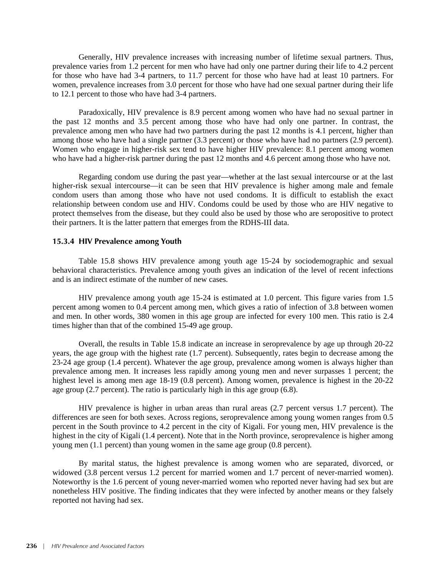Generally, HIV prevalence increases with increasing number of lifetime sexual partners. Thus, prevalence varies from 1.2 percent for men who have had only one partner during their life to 4.2 percent for those who have had 3-4 partners, to 11.7 percent for those who have had at least 10 partners. For women, prevalence increases from 3.0 percent for those who have had one sexual partner during their life to 12.1 percent to those who have had 3-4 partners.

Paradoxically, HIV prevalence is 8.9 percent among women who have had no sexual partner in the past 12 months and 3.5 percent among those who have had only one partner. In contrast, the prevalence among men who have had two partners during the past 12 months is 4.1 percent, higher than among those who have had a single partner (3.3 percent) or those who have had no partners (2.9 percent). Women who engage in higher-risk sex tend to have higher HIV prevalence: 8.1 percent among women who have had a higher-risk partner during the past 12 months and 4.6 percent among those who have not.

Regarding condom use during the past year—whether at the last sexual intercourse or at the last higher-risk sexual intercourse—it can be seen that HIV prevalence is higher among male and female condom users than among those who have not used condoms. It is difficult to establish the exact relationship between condom use and HIV. Condoms could be used by those who are HIV negative to protect themselves from the disease, but they could also be used by those who are seropositive to protect their partners. It is the latter pattern that emerges from the RDHS-III data.

### **15.3.4 HIV Prevalence among Youth**

Table 15.8 shows HIV prevalence among youth age 15-24 by sociodemographic and sexual behavioral characteristics. Prevalence among youth gives an indication of the level of recent infections and is an indirect estimate of the number of new cases.

HIV prevalence among youth age 15-24 is estimated at 1.0 percent. This figure varies from 1.5 percent among women to 0.4 percent among men, which gives a ratio of infection of 3.8 between women and men. In other words, 380 women in this age group are infected for every 100 men. This ratio is 2.4 times higher than that of the combined 15-49 age group.

Overall, the results in Table 15.8 indicate an increase in seroprevalence by age up through 20-22 years, the age group with the highest rate (1.7 percent). Subsequently, rates begin to decrease among the 23-24 age group (1.4 percent). Whatever the age group, prevalence among women is always higher than prevalence among men. It increases less rapidly among young men and never surpasses 1 percent; the highest level is among men age 18-19 (0.8 percent). Among women, prevalence is highest in the 20-22 age group (2.7 percent). The ratio is particularly high in this age group (6.8).

HIV prevalence is higher in urban areas than rural areas (2.7 percent versus 1.7 percent). The differences are seen for both sexes. Across regions, seroprevalence among young women ranges from 0.5 percent in the South province to 4.2 percent in the city of Kigali. For young men, HIV prevalence is the highest in the city of Kigali (1.4 percent). Note that in the North province, seroprevalence is higher among young men (1.1 percent) than young women in the same age group (0.8 percent).

By marital status, the highest prevalence is among women who are separated, divorced, or widowed (3.8 percent versus 1.2 percent for married women and 1.7 percent of never-married women). Noteworthy is the 1.6 percent of young never-married women who reported never having had sex but are nonetheless HIV positive. The finding indicates that they were infected by another means or they falsely reported not having had sex.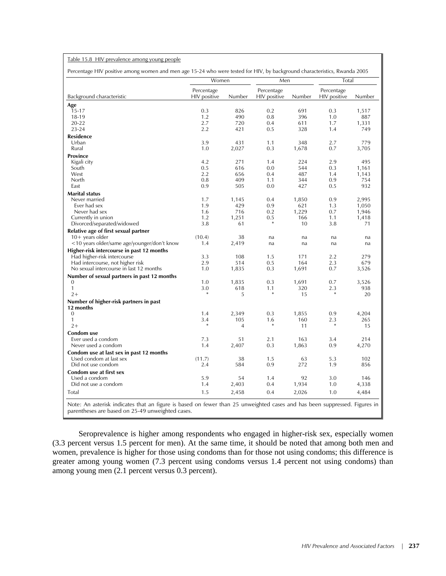|                                             | Women                      |        | Men                        |        | Total                      |        |
|---------------------------------------------|----------------------------|--------|----------------------------|--------|----------------------------|--------|
| Background characteristic                   | Percentage<br>HIV positive | Number | Percentage<br>HIV positive | Number | Percentage<br>HIV positive | Number |
| Age                                         |                            |        |                            |        |                            |        |
| $15 - 17$                                   | 0.3                        | 826    | 0.2                        | 691    | 0.3                        | 1,517  |
| 18-19                                       | 1.2                        | 490    | 0.8                        | 396    | 1.0                        | 887    |
| 20-22                                       | 2.7                        | 720    | 0.4                        | 611    | 1.7                        | 1,331  |
| 23-24                                       | 2.2                        | 421    | 0.5                        | 328    | 1.4                        | 749    |
| Residence                                   |                            |        |                            |        |                            |        |
| Urban                                       | 3.9                        | 431    | 1.1                        | 348    | 2.7                        | 779    |
| Rural                                       | 1.0                        | 2,027  | 0.3                        | 1,678  | 0.7                        | 3,705  |
| Province                                    |                            |        |                            |        |                            |        |
| Kigali city                                 | 4.2                        | 271    | 1.4                        | 224    | 2.9                        | 495    |
| South                                       | 0.5                        | 616    | 0.0                        | 544    | 0.3                        | 1,161  |
| West                                        | 2.2                        | 656    | 0.4                        | 487    | 1.4                        | 1,143  |
| North                                       | 0.8                        | 409    | 1.1                        | 344    | 0.9                        | 754    |
| East                                        | 0.9                        | 505    | 0.0                        | 427    | 0.5                        | 932    |
| <b>Marital status</b>                       |                            |        |                            |        |                            |        |
| Never married                               | 1.7                        | 1,145  | 0.4                        | 1,850  | 0.9                        | 2,995  |
| Ever had sex                                | 1.9                        | 429    | 0.9                        | 621    | 1.3                        | 1,050  |
| Never had sex                               | 1.6                        | 716    | 0.2                        | 1,229  | 0.7                        | 1,946  |
| Currently in union                          | 1.2                        | 1,251  | 0.5                        | 166    | 1.1                        | 1,418  |
| Divorced/separated/widowed                  | 3.8                        | 61     | $\ast$                     | 10     | 3.8                        | 71     |
| Relative age of first sexual partner        |                            |        |                            |        |                            |        |
| $10+$ years older                           | (10.4)                     | 38     | na                         | na     | na                         | na     |
| <10 years older/same age/younger/don't know | 1.4                        | 2,419  | na                         | na     | na                         | na     |
| Higher-risk intercourse in past 12 months   |                            |        |                            |        |                            |        |
| Had higher-risk intercourse                 | 3.3                        | 108    | 1.5                        | 171    | 2.2                        | 279    |
| Had intercourse, not higher risk            | 2.9                        | 514    | 0.5                        | 164    | 2.3                        | 679    |
| No sexual intercourse in last 12 months     | 1.0                        | 1,835  | 0.3                        | 1,691  | 0.7                        | 3,526  |
| Number of sexual partners in past 12 months |                            |        |                            |        |                            |        |
| 0                                           | 1.0                        | 1,835  | 0.3                        | 1,691  | 0.7                        | 3,526  |
| $\mathbf{1}$                                | 3.0                        | 618    | 1.1                        | 320    | 2.3                        | 938    |
| $2+$                                        | *                          | 5      | *                          | 15     | *                          | 20     |
| Number of higher-risk partners in past      |                            |        |                            |        |                            |        |
| 12 months                                   |                            |        |                            |        |                            |        |
| $\mathbf{0}$                                | 1.4                        | 2,349  | 0.3                        | 1,855  | 0.9                        | 4,204  |
| $\mathbf{1}$<br>$2+$                        | 3.4<br>$\ast$              | 105    | 1.6<br>$\ast$              | 160    | 2.3<br>$\ast$              | 265    |
|                                             |                            | 4      |                            | 11     |                            | 15     |
| Condom use                                  |                            |        |                            |        |                            |        |
| Ever used a condom                          | 7.3                        | 51     | 2.1                        | 163    | 3.4                        | 214    |
| Never used a condom                         | 1.4                        | 2,407  | 0.3                        | 1,863  | 0.9                        | 4,270  |
| Condom use at last sex in past 12 months    |                            |        |                            |        |                            |        |
| Used condom at last sex                     | (11.7)                     | 38     | 1.5                        | 63     | 5.3                        | 102    |
| Did not use condom                          | 2.4                        | 584    | 0.9                        | 272    | 1.9                        | 856    |
| Condom use at first sex                     |                            |        |                            |        |                            |        |
| Used a condom                               | 5.9                        | 54     | 1.4                        | 92     | 3.0                        | 146    |
| Did not use a condom                        | 1.4                        | 2,403  | 0.4                        | 1,934  | 1.0                        | 4,338  |
| Total                                       | 1.5                        | 2,458  | 0.4                        | 2,026  | 1.0                        | 4,484  |

Seroprevalence is higher among respondents who engaged in higher-risk sex, especially women

(3.3 percent versus 1.5 percent for men). At the same time, it should be noted that among both men and women, prevalence is higher for those using condoms than for those not using condoms; this difference is greater among young women (7.3 percent using condoms versus 1.4 percent not using condoms) than among young men (2.1 percent versus 0.3 percent).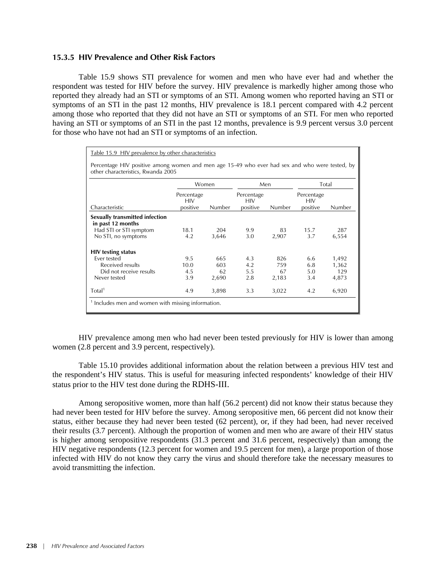#### **15.3.5 HIV Prevalence and Other Risk Factors**

Table 15.9 shows STI prevalence for women and men who have ever had and whether the respondent was tested for HIV before the survey. HIV prevalence is markedly higher among those who reported they already had an STI or symptoms of an STI. Among women who reported having an STI or symptoms of an STI in the past 12 months, HIV prevalence is 18.1 percent compared with 4.2 percent among those who reported that they did not have an STI or symptoms of an STI. For men who reported having an STI or symptoms of an STI in the past 12 months, prevalence is 9.9 percent versus 3.0 percent for those who have not had an STI or symptoms of an infection.

Table 15.9 HIV prevalence by other characteristics

Percentage HIV positive among women and men age 15-49 who ever had sex and who were tested, by other characteristics, Rwanda 2005

|                                                     | Women                                |        | Men                                  |        | Total                                |        |
|-----------------------------------------------------|--------------------------------------|--------|--------------------------------------|--------|--------------------------------------|--------|
| Characteristic                                      | Percentage<br><b>HIV</b><br>positive | Number | Percentage<br><b>HIV</b><br>positive | Number | Percentage<br><b>HIV</b><br>positive | Number |
| Sexually transmitted infection<br>in past 12 months |                                      |        |                                      |        |                                      |        |
| Had STI or STI symptom                              | 18.1                                 | 204    | 9.9                                  | 83     | 15.7                                 | 287    |
| No STI, no symptoms                                 | 4.2                                  | 3,646  | 3.0                                  | 2,907  | 3.7                                  | 6,554  |
| <b>HIV</b> testing status                           |                                      |        |                                      |        |                                      |        |
| <b>Fver tested</b>                                  | 9.5                                  | 665    | 4.3                                  | 826    | 6.6                                  | 1,492  |
| Received results                                    | 10.0                                 | 603    | 4.2                                  | 759    | 6.8                                  | 1,362  |
| Did not receive results                             | 4.5                                  | 62     | 5.5                                  | 67     | 5.0                                  | 129    |
| Never tested                                        | 3.9                                  | 2,690  | 2.8                                  | 2,183  | 3.4                                  | 4,873  |
| Total <sup>1</sup>                                  | 4.9                                  | 3,898  | 3.3                                  | 3,022  | 4.2                                  | 6,920  |

HIV prevalence among men who had never been tested previously for HIV is lower than among women (2.8 percent and 3.9 percent, respectively).

Table 15.10 provides additional information about the relation between a previous HIV test and the respondent's HIV status. This is useful for measuring infected respondents' knowledge of their HIV status prior to the HIV test done during the RDHS-III.

Among seropositive women, more than half (56.2 percent) did not know their status because they had never been tested for HIV before the survey. Among seropositive men, 66 percent did not know their status, either because they had never been tested (62 percent), or, if they had been, had never received their results (3.7 percent). Although the proportion of women and men who are aware of their HIV status is higher among seropositive respondents (31.3 percent and 31.6 percent, respectively) than among the HIV negative respondents (12.3 percent for women and 19.5 percent for men), a large proportion of those infected with HIV do not know they carry the virus and should therefore take the necessary measures to avoid transmitting the infection.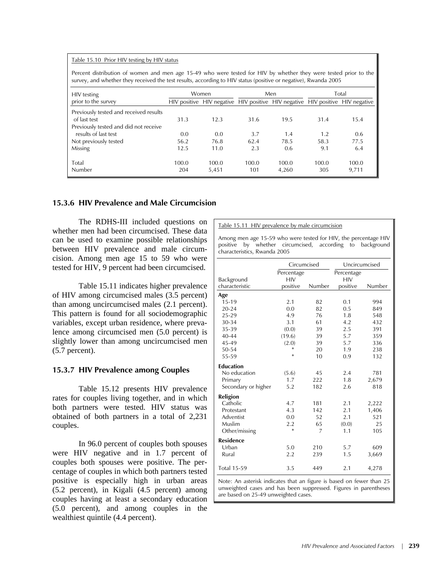Table 15.10 Prior HIV testing by HIV status

Percent distribution of women and men age 15-49 who were tested for HIV by whether they were tested prior to the survey, and whether they received the test results, according to HIV status (positive or negative), Rwanda 2005

| HIV testing                                                   | Women        |                |              | Men            | Total        |                                                                               |
|---------------------------------------------------------------|--------------|----------------|--------------|----------------|--------------|-------------------------------------------------------------------------------|
| prior to the survey                                           |              |                |              |                |              | HIV positive HIV negative HIV positive HIV negative HIV positive HIV negative |
| Previously tested and received results<br>of last test        | 31.3         | 12.3           | 31.6         | 19.5           | 31.4         | 15.4                                                                          |
| Previously tested and did not receive<br>results of last test | 0.0          | 0.0            | 3.7          | 1.4            | 1.2          | 0.6                                                                           |
| Not previously tested                                         | 56.2         | 76.8           | 62.4         | 78.5           | 58.3         | 77.5                                                                          |
| Missing                                                       | 12.5         | 11.0           | 2.3          | 0.6            | 9.1          | 6.4                                                                           |
| Total<br>Number                                               | 100.0<br>204 | 100.0<br>5,451 | 100.0<br>101 | 100.0<br>4,260 | 100.0<br>305 | 100.0<br>9,711                                                                |

#### **15.3.6 HIV Prevalence and Male Circumcision**

The RDHS-III included questions on whether men had been circumcised. These data can be used to examine possible relationships between HIV prevalence and male circumcision. Among men age 15 to 59 who were tested for HIV, 9 percent had been circumcised.

Table 15.11 indicates higher prevalence of HIV among circumcised males (3.5 percent) than among uncircumcised males (2.1 percent). This pattern is found for all sociodemographic variables, except urban residence, where prevalence among circumcised men (5.0 percent) is slightly lower than among uncircumcised men (5.7 percent).

#### **15.3.7 HIV Prevalence among Couples**

Table 15.12 presents HIV prevalence rates for couples living together, and in which both partners were tested. HIV status was obtained of both partners in a total of 2,231 couples.

In 96.0 percent of couples both spouses were HIV negative and in 1.7 percent of couples both spouses were positive. The percentage of couples in which both partners tested positive is especially high in urban areas (5.2 percent), in Kigali (4.5 percent) among couples having at least a secondary education (5.0 percent), and among couples in the wealthiest quintile (4.4 percent).

| Table 15.11 HIV prevalence by male circumcision |  |  |
|-------------------------------------------------|--|--|
|                                                 |  |  |

Among men age 15-59 who were tested for HIV, the percentage HIV positive by whether circumcised, according to background characteristics, Rwanda 2005

|                                                                                                                                          | Circumcised |        | Uncircumcised |        |
|------------------------------------------------------------------------------------------------------------------------------------------|-------------|--------|---------------|--------|
|                                                                                                                                          | Percentage  |        | Percentage    |        |
| Background                                                                                                                               | <b>HIV</b>  |        | <b>HIV</b>    |        |
| characteristic                                                                                                                           | positive    | Number | positive      | Number |
| Age                                                                                                                                      |             |        |               |        |
| $15-19$                                                                                                                                  | 2.1         | 82     | 0.1           | 994    |
| $20 - 24$                                                                                                                                | 0.0         | 82     | 0.5           | 849    |
| 25-29                                                                                                                                    | 4.9         | 76     | 1.8           | 548    |
| 30-34                                                                                                                                    | 3.1         | 61     | 4.2           | 432    |
| 35-39                                                                                                                                    | (0.0)       | 39     | 2.5           | 391    |
| $40 - 44$                                                                                                                                | (19.6)      | 39     | 5.7           | 359    |
| 45-49                                                                                                                                    | (2.0)       | 39     | 5.7           | 336    |
| 50-54                                                                                                                                    | *           | 20     | 1.9           | 238    |
| 55-59                                                                                                                                    | $\ast$      | 10     | 0.9           | 132    |
| <b>Education</b>                                                                                                                         |             |        |               |        |
| No education                                                                                                                             | (5.6)       | 45     | 2.4           | 781    |
| Primary                                                                                                                                  | 1.7         | 222    | 1.8           | 2,679  |
| Secondary or higher                                                                                                                      | 5.2         | 182    | 2.6           | 818    |
| Religion                                                                                                                                 |             |        |               |        |
| Catholic                                                                                                                                 | 4.7         | 181    | 2.1           | 2,222  |
| Protestant                                                                                                                               | 4.3         | 142    | 2.1           | 1,406  |
| Adventist                                                                                                                                | 0.0         | 52     | 2.1           | 521    |
| Muslim                                                                                                                                   | 2.2         | 65     | (0.0)         | 25     |
| Other/missing                                                                                                                            | $\ast$      | 7      | 1.1           | 105    |
| <b>Residence</b>                                                                                                                         |             |        |               |        |
| Urban                                                                                                                                    | 5.0         | 210    | 5.7           | 609    |
| Rural                                                                                                                                    | 2.2         | 239    | 1.5           | 3,669  |
| <b>Total 15-59</b>                                                                                                                       | 3.5         | 449    | 2.1           | 4,278  |
| Note: An asterisk indicates that an figure is based on fewer than 25<br>unweighted cases and has been suppressed. Figures in parentheses |             |        |               |        |

are based on 25-49 unweighted cases.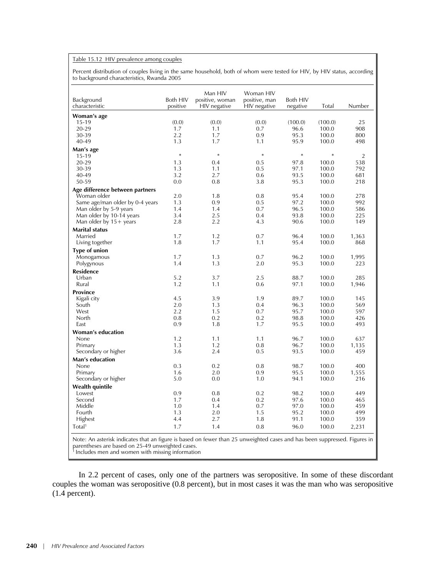#### Table 15.12 HIV prevalence among couples

Percent distribution of couples living in the same household, both of whom were tested for HIV, by HIV status, according to background characteristics, Rwanda 2005

| Background<br>characteristic                                            | <b>Both HIV</b><br>positive | Man HIV<br>positive, woman<br>HIV negative | Woman HIV<br>positive, man<br>HIV negative | <b>Both HIV</b><br>negative | Total          | Number       |
|-------------------------------------------------------------------------|-----------------------------|--------------------------------------------|--------------------------------------------|-----------------------------|----------------|--------------|
| Woman's age                                                             |                             |                                            |                                            |                             |                |              |
| 15-19                                                                   | (0.0)                       | (0.0)                                      | (0.0)                                      | (100.0)                     | (100.0)        | 25           |
| 20-29                                                                   | 1.7                         | 1.1                                        | 0.7                                        | 96.6                        | 100.0          | 908          |
| 30-39                                                                   | 2.2                         | 1.7                                        | 0.9                                        | 95.3                        | 100.0          | 800          |
| 40-49                                                                   | 1.3                         | 1.7                                        | 1.1                                        | 95.9                        | 100.0          | 498          |
| Man's age                                                               |                             |                                            |                                            |                             |                |              |
| 15-19                                                                   | $\ast$                      | $\ast$                                     | $\ast$                                     | $\ast$                      | $\ast$         | 2            |
| 20-29                                                                   | 1.3                         | 0.4                                        | 0.5                                        | 97.8                        | 100.0          | 538          |
| 30-39                                                                   | 1.3                         | 1.1                                        | 0.5                                        | 97.1                        | 100.0          | 792          |
| $40 - 49$                                                               | 3.2                         | 2.7                                        | 0.6                                        | 93.5                        | 100.0          | 681          |
| 50-59                                                                   | 0.0                         | 0.8                                        | 3.8                                        | 95.3                        | 100.0          | 218          |
|                                                                         |                             |                                            |                                            |                             |                |              |
| Age difference between partners                                         |                             |                                            |                                            | 95.4                        |                | 278          |
| Woman older                                                             | 2.0                         | 1.8                                        | 0.8                                        | 97.2                        | 100.0          | 992          |
| Same age/man older by 0-4 years                                         | 1.3<br>1.4                  | 0.9<br>1.4                                 | 0.5<br>0.7                                 | 96.5                        | 100.0<br>100.0 |              |
| Man older by 5-9 years                                                  |                             |                                            |                                            |                             |                | 586          |
| Man older by 10-14 years                                                | 3.4                         | 2.5                                        | 0.4                                        | 93.8                        | 100.0          | 225          |
| Man older by $15+$ years                                                | 2.8                         | 2.2                                        | 4.3                                        | 90.6                        | 100.0          | 149          |
| <b>Marital status</b>                                                   |                             |                                            |                                            |                             |                |              |
| Married                                                                 | 1.7                         | 1.2                                        | 0.7                                        | 96.4                        | 100.0          | 1,363        |
| Living together                                                         | 1.8                         | 1.7                                        | 1.1                                        | 95.4                        | 100.0          | 868          |
| Type of union                                                           |                             |                                            |                                            |                             |                |              |
| Monogamous                                                              | 1.7                         | 1.3                                        | 0.7                                        | 96.2                        | 100.0          | 1,995        |
| Polygynous                                                              | 1.4                         | 1.3                                        | 2.0                                        | 95.3                        | 100.0          | 223          |
| <b>Residence</b>                                                        |                             |                                            |                                            |                             |                |              |
| Urban                                                                   | 5.2                         | 3.7                                        | 2.5                                        | 88.7                        | 100.0          | 285          |
| Rural                                                                   | 1.2                         | 1.1                                        | 0.6                                        | 97.1                        | 100.0          | 1,946        |
| <b>Province</b>                                                         |                             |                                            |                                            |                             |                |              |
| Kigali city                                                             | 4.5                         | 3.9                                        | 1.9                                        | 89.7                        | 100.0          | 145          |
| South                                                                   | 2.0                         | 1.3                                        | 0.4                                        | 96.3                        | 100.0          | 569          |
| West                                                                    | 2.2                         | 1.5                                        | 0.7                                        | 95.7                        | 100.0          | 597          |
| North                                                                   | 0.8                         | 0.2                                        | 0.2                                        | 98.8                        | 100.0          | 426          |
| East                                                                    | 0.9                         | 1.8                                        | 1.7                                        | 95.5                        | 100.0          | 493          |
| <b>Woman's education</b>                                                |                             |                                            |                                            |                             |                |              |
| None                                                                    | 1.2                         | 1.1                                        | 1.1                                        | 96.7                        | 100.0          | 637          |
| Primary                                                                 | 1.3                         | 1.2                                        | 0.8                                        | 96.7                        | 100.0          | 1,135        |
| Secondary or higher                                                     | 3.6                         | 2.4                                        | 0.5                                        | 93.5                        | 100.0          | 459          |
|                                                                         |                             |                                            |                                            |                             |                |              |
| Man's education                                                         |                             |                                            |                                            |                             |                |              |
| None                                                                    | 0.3                         | 0.2                                        | 0.8                                        | 98.7                        | 100.0          | 400          |
| Primary                                                                 | 1.6                         | 2.0                                        | 0.9                                        | 95.5                        | 100.0          | 1,555        |
| Secondary or higher                                                     | 5.0                         | 0.0                                        | 1.0                                        | 94.1                        | 100.0          | 216          |
| Wealth quintile                                                         |                             |                                            |                                            |                             |                |              |
| Lowest                                                                  | 0.9                         | 0.8                                        | 0.2                                        | 98.2                        | 100.0          | 449          |
| Second                                                                  | 1.7                         | 0.4                                        | 0.2                                        | 97.6                        | 100.0          | 465          |
| Middle                                                                  | 1.0                         | 1.4                                        | 0.7                                        | 97.0                        | 100.0          | 459          |
| Fourth                                                                  | 1.3                         | 2.0                                        | 1.5                                        | 95.2                        | 100.0          | 499          |
| Highest                                                                 | 4.4                         | 2.7                                        | 1.8                                        | 91.1                        | 100.0          | 359          |
| Total <sup>1</sup>                                                      | 1.7                         | 1.4                                        | 0.8                                        | 96.0                        | 100.0          | 2,231        |
| $\sim$ 1.0 $\sim$ 1.0 $\sim$<br>$\sim$<br>$\mathbf{1}$ and $\mathbf{1}$ | $\sim$ $\sim$               | $\epsilon$<br>- 11                         | $-1.1 - 1.1$                               |                             |                | $\mathbf{r}$ |

Note: An asterisk indicates that an figure is based on fewer than 25 unweighted cases and has been suppressed. Figures in parentheses are based on 25-49 unweighted cases. <sup>1</sup> Includes men and women with missing information

In 2.2 percent of cases, only one of the partners was seropositive. In some of these discordant couples the woman was seropositive (0.8 percent), but in most cases it was the man who was seropositive (1.4 percent).